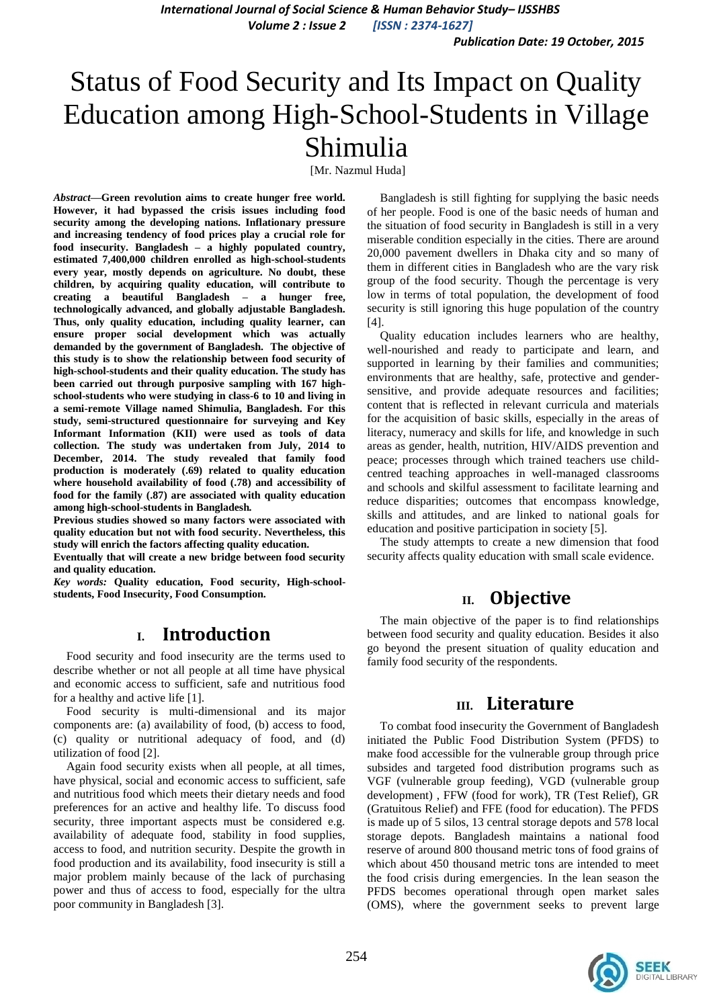*International Journal of Social Science & Human Behavior Study– IJSSHBS Volume 2 : Issue 2 [ISSN : 2374-1627]*

*Publication Date: 19 October, 2015*

# Status of Food Security and Its Impact on Quality Education among High-School-Students in Village Shimulia

[Mr. Nazmul Huda]

*Abstract***—Green revolution aims to create hunger free world. However, it had bypassed the crisis issues including food security among the developing nations. Inflationary pressure and increasing tendency of food prices play a crucial role for food insecurity. Bangladesh – a highly populated country, estimated 7,400,000 children enrolled as high-school-students every year, mostly depends on agriculture. No doubt, these children, by acquiring quality education, will contribute to creating a beautiful Bangladesh – a hunger free, technologically advanced, and globally adjustable Bangladesh. Thus, only quality education, including quality learner, can ensure proper social development which was actually demanded by the government of Bangladesh. The objective of this study is to show the relationship between food security of high-school-students and their quality education. The study has been carried out through purposive sampling with 167 highschool-students who were studying in class-6 to 10 and living in a semi-remote Village named Shimulia, Bangladesh. For this study, semi-structured questionnaire for surveying and Key Informant Information (KII) were used as tools of data collection. The study was undertaken from July, 2014 to December, 2014. The study revealed that family food production is moderately (.69) related to quality education where household availability of food (.78) and accessibility of food for the family (.87) are associated with quality education among high-school-students in Bangladesh***.*

**Previous studies showed so many factors were associated with quality education but not with food security. Nevertheless, this study will enrich the factors affecting quality education.**

**Eventually that will create a new bridge between food security and quality education.** 

*Key words:* **Quality education, Food security, High-schoolstudents, Food Insecurity, Food Consumption.**

### **I. Introduction**

Food security and food insecurity are the terms used to describe whether or not all people at all time have physical and economic access to sufficient, safe and nutritious food for a healthy and active life [1].

Food security is multi-dimensional and its major components are: (a) availability of food, (b) access to food, (c) quality or nutritional adequacy of food, and (d) utilization of food [2].

Again food security exists when all people, at all times, have physical, social and economic access to sufficient, safe and nutritious food which meets their dietary needs and food preferences for an active and healthy life. To discuss food security, three important aspects must be considered e.g. availability of adequate food, stability in food supplies, access to food, and nutrition security. Despite the growth in food production and its availability, food insecurity is still a major problem mainly because of the lack of purchasing power and thus of access to food, especially for the ultra poor community in Bangladesh [3].

Bangladesh is still fighting for supplying the basic needs of her people. Food is one of the basic needs of human and the situation of food security in Bangladesh is still in a very miserable condition especially in the cities. There are around 20,000 pavement dwellers in Dhaka city and so many of them in different cities in Bangladesh who are the vary risk group of the food security. Though the percentage is very low in terms of total population, the development of food security is still ignoring this huge population of the country [4].

Quality education includes learners who are healthy, well-nourished and ready to participate and learn, and supported in learning by their families and communities; environments that are healthy, safe, protective and gendersensitive, and provide adequate resources and facilities; content that is reflected in relevant curricula and materials for the acquisition of basic skills, especially in the areas of literacy, numeracy and skills for life, and knowledge in such areas as gender, health, nutrition, HIV/AIDS prevention and peace; processes through which trained teachers use childcentred teaching approaches in well-managed classrooms and schools and skilful assessment to facilitate learning and reduce disparities; outcomes that encompass knowledge, skills and attitudes, and are linked to national goals for education and positive participation in society [5].

The study attempts to create a new dimension that food security affects quality education with small scale evidence.

## **II. Objective**

The main objective of the paper is to find relationships between food security and quality education. Besides it also go beyond the present situation of quality education and family food security of the respondents.

### **III. Literature**

To combat food insecurity the Government of Bangladesh initiated the Public Food Distribution System (PFDS) to make food accessible for the vulnerable group through price subsides and targeted food distribution programs such as VGF (vulnerable group feeding), VGD (vulnerable group development) , FFW (food for work), TR (Test Relief), GR (Gratuitous Relief) and FFE (food for education). The PFDS is made up of 5 silos, 13 central storage depots and 578 local storage depots. Bangladesh maintains a national food reserve of around 800 thousand metric tons of food grains of which about 450 thousand metric tons are intended to meet the food crisis during emergencies. In the lean season the PFDS becomes operational through open market sales (OMS), where the government seeks to prevent large

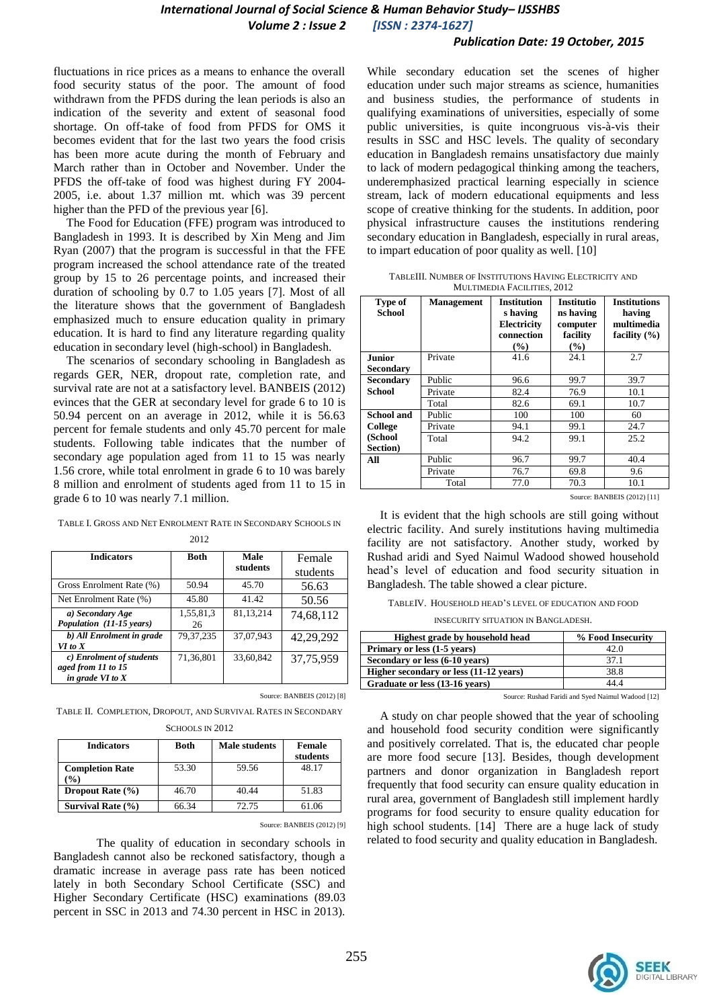#### *Publication Date: 19 October, 2015*

fluctuations in rice prices as a means to enhance the overall food security status of the poor. The amount of food withdrawn from the PFDS during the lean periods is also an indication of the severity and extent of seasonal food shortage. On off-take of food from PFDS for OMS it becomes evident that for the last two years the food crisis has been more acute during the month of February and March rather than in October and November. Under the PFDS the off-take of food was highest during FY 2004- 2005, i.e. about 1.37 million mt. which was 39 percent higher than the PFD of the previous year [6].

The Food for Education (FFE) program was introduced to Bangladesh in 1993. It is described by Xin Meng and Jim Ryan (2007) that the program is successful in that the FFE program increased the school attendance rate of the treated group by 15 to 26 percentage points, and increased their duration of schooling by 0.7 to 1.05 years [7]. Most of all the literature shows that the government of Bangladesh emphasized much to ensure education quality in primary education. It is hard to find any literature regarding quality education in secondary level (high-school) in Bangladesh.

The scenarios of secondary schooling in Bangladesh as regards GER, NER, dropout rate, completion rate, and survival rate are not at a satisfactory level. BANBEIS (2012) evinces that the GER at secondary level for grade 6 to 10 is 50.94 percent on an average in 2012, while it is 56.63 percent for female students and only 45.70 percent for male students. Following table indicates that the number of secondary age population aged from 11 to 15 was nearly 1.56 crore, while total enrolment in grade 6 to 10 was barely 8 million and enrolment of students aged from 11 to 15 in grade 6 to 10 was nearly 7.1 million.

|  | TABLE I. GROSS AND NET ENROLMENT RATE IN SECONDARY SCHOOLS IN |  |
|--|---------------------------------------------------------------|--|
|  |                                                               |  |

| 2012                      |             |             |           |
|---------------------------|-------------|-------------|-----------|
| <b>Indicators</b>         | <b>Both</b> | Male        | Female    |
|                           |             | students    | students  |
| Gross Enrolment Rate (%)  | 50.94       | 45.70       | 56.63     |
| Net Enrolment Rate (%)    | 45.80       | 41.42       | 50.56     |
| a) Secondary Age          | 1,55,81,3   | 81, 13, 214 | 74,68,112 |
| Population (11-15 years)  | 26          |             |           |
| b) All Enrolment in grade | 79.37.235   | 37,07,943   | 42,29,292 |
| VI to X                   |             |             |           |
| c) Enrolment of students  | 71,36,801   | 33,60,842   | 37,75,959 |
| aged from 11 to 15        |             |             |           |
| in grade VI to $X$        |             |             |           |

Source: BANBEIS (2012) [8] TABLE II. COMPLETION, DROPOUT, AND SURVIVAL RATES IN SECONDARY

SCHOOLS IN 2012

| <b>Indicators</b>              | <b>Both</b> | <b>Male students</b> | Female<br>students |
|--------------------------------|-------------|----------------------|--------------------|
| <b>Completion Rate</b><br>$\%$ | 53.30       | 59.56                | 48.17              |
| Dropout Rate $(\% )$           | 46.70       | 40.44                | 51.83              |
| Survival Rate $(\% )$          | 66.34       | 72.75                | 61.06              |

Source: BANBEIS (2012) [9]

The quality of education in secondary schools in Bangladesh cannot also be reckoned satisfactory, though a dramatic increase in average pass rate has been noticed lately in both Secondary School Certificate (SSC) and Higher Secondary Certificate (HSC) examinations (89.03 percent in SSC in 2013 and 74.30 percent in HSC in 2013).

While secondary education set the scenes of higher education under such major streams as science, humanities and business studies, the performance of students in qualifying examinations of universities, especially of some public universities, is quite incongruous vis-à-vis their results in SSC and HSC levels. The quality of secondary education in Bangladesh remains unsatisfactory due mainly to lack of modern pedagogical thinking among the teachers, underemphasized practical learning especially in science stream, lack of modern educational equipments and less scope of creative thinking for the students. In addition, poor physical infrastructure causes the institutions rendering secondary education in Bangladesh, especially in rural areas, to impart education of poor quality as well. [10]

TABLEIII. NUMBER OF INSTITUTIONS HAVING ELECTRICITY AND MULTIMEDIA FACILITIES, 2012

| Type of<br><b>School</b> | <b>Management</b> | <b>Institution</b><br>s having<br>Electricity<br>connection<br>(%) | <b>Institutio</b><br>ns having<br>computer<br>facility<br>(%) | <b>Institutions</b><br>having<br>multimedia<br>facility $(\% )$ |
|--------------------------|-------------------|--------------------------------------------------------------------|---------------------------------------------------------------|-----------------------------------------------------------------|
| <b>Junior</b>            | Private           | 41.6                                                               | 24.1                                                          | 2.7                                                             |
| <b>Secondary</b>         |                   |                                                                    |                                                               |                                                                 |
| <b>Secondary</b>         | Public            | 96.6                                                               | 99.7                                                          | 39.7                                                            |
| <b>School</b>            | Private           | 82.4                                                               | 76.9                                                          | 10.1                                                            |
|                          | Total             | 82.6                                                               | 69.1                                                          | 10.7                                                            |
| School and               | Public            | 100                                                                | 100                                                           | 60                                                              |
| <b>College</b>           | Private           | 94.1                                                               | 99.1                                                          | 24.7                                                            |
| (School                  | Total             | 94.2                                                               | 99.1                                                          | 25.2                                                            |
| Section)                 |                   |                                                                    |                                                               |                                                                 |
| All                      | Public            | 96.7                                                               | 99.7                                                          | 40.4                                                            |
|                          | Private           | 76.7                                                               | 69.8                                                          | 9.6                                                             |
|                          | Total             | 77.0                                                               | 70.3                                                          | 10.1                                                            |

Source: BANBEIS (2012) [11]

It is evident that the high schools are still going without electric facility. And surely institutions having multimedia facility are not satisfactory. Another study, worked by Rushad aridi and Syed Naimul Wadood showed household head"s level of education and food security situation in Bangladesh. The table showed a clear picture.

TABLEIV. HOUSEHOLD HEAD"S LEVEL OF EDUCATION AND FOOD

INSECURITY SITUATION IN BANGLADESH.

| Highest grade by household head        | % Food Insecurity |
|----------------------------------------|-------------------|
| Primary or less (1-5 years)            | 42.0              |
| Secondary or less (6-10 years)         | 37.1              |
| Higher secondary or less (11-12 years) | 38.8              |
| Graduate or less (13-16 years)         | 44 4              |
|                                        |                   |

Source: Rushad Faridi and Syed Naimul Wadood [12]

A study on char people showed that the year of schooling and household food security condition were significantly and positively correlated. That is, the educated char people are more food secure [13]. Besides, though development partners and donor organization in Bangladesh report frequently that food security can ensure quality education in rural area, government of Bangladesh still implement hardly programs for food security to ensure quality education for high school students. [14] There are a huge lack of study related to food security and quality education in Bangladesh.

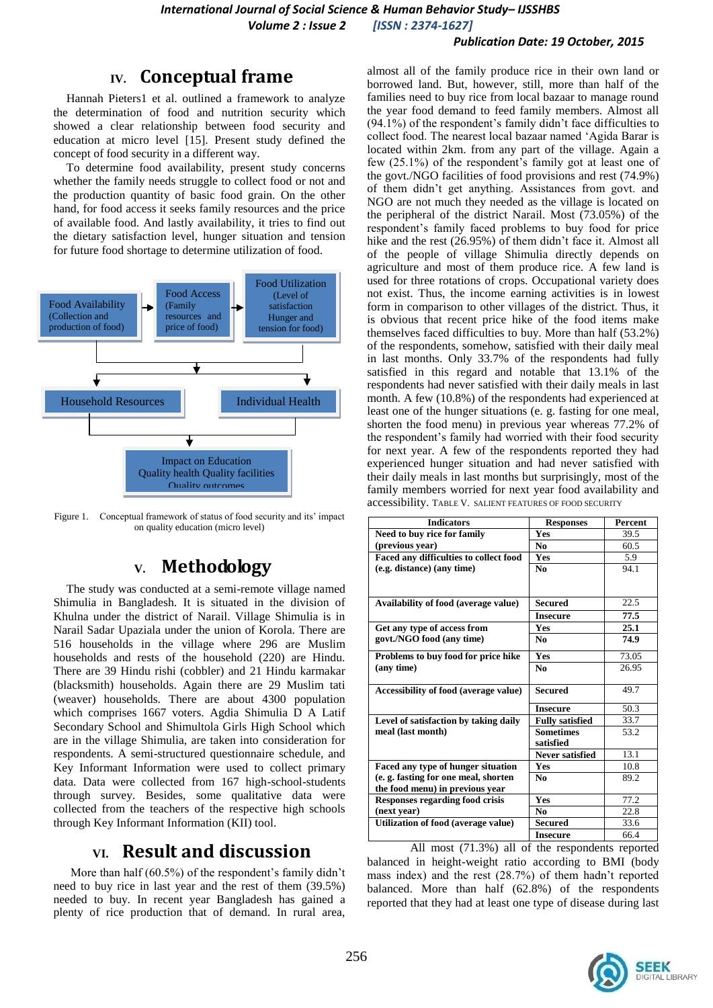#### *Publication Date: 19 October, 2015*

# **IV. Conceptual frame**

Hannah Pieters1 et al. outlined a framework to analyze the determination of food and nutrition security which showed a clear relationship between food security and education at micro level [15]. Present study defined the concept of food security in a different way.

To determine food availability, present study concerns whether the family needs struggle to collect food or not and the production quantity of basic food grain. On the other hand, for food access it seeks family resources and the price of available food. And lastly availability, it tries to find out the dietary satisfaction level, hunger situation and tension for future food shortage to determine utilization of food.



Figure 1. Conceptual framework of status of food security and its' impact on quality education (micro level)

# **V. Methodology**

The study was conducted at a semi-remote village named Shimulia in Bangladesh. It is situated in the division of Khulna under the district of Narail. Village Shimulia is in Narail Sadar Upaziala under the union of Korola. There are 516 households in the village where 296 are Muslim households and rests of the household (220) are Hindu. There are 39 Hindu rishi (cobbler) and 21 Hindu karmakar (blacksmith) households. Again there are 29 Muslim tati (weaver) households. There are about 4300 population which comprises 1667 voters. Agdia Shimulia D A Latif Secondary School and Shimultola Girls High School which are in the village Shimulia, are taken into consideration for respondents. A semi-structured questionnaire schedule, and Key Informant Information were used to collect primary data. Data were collected from 167 high-school-students through survey. Besides, some qualitative data were collected from the teachers of the respective high schools through Key Informant Information (KII) tool.

# **VI. Result and discussion**

More than half  $(60.5\%)$  of the respondent's family didn't need to buy rice in last year and the rest of them (39.5%) needed to buy. In recent year Bangladesh has gained a plenty of rice production that of demand. In rural area,

almost all of the family produce rice in their own land or borrowed land. But, however, still, more than half of the families need to buy rice from local bazaar to manage round the year food demand to feed family members. Almost all (94.1%) of the respondent"s family didn"t face difficulties to collect food. The nearest local bazaar named "Agida Barar is located within 2km. from any part of the village. Again a few (25.1%) of the respondent's family got at least one of the govt./NGO facilities of food provisions and rest (74.9%) of them didn"t get anything. Assistances from govt. and NGO are not much they needed as the village is located on the peripheral of the district Narail. Most (73.05%) of the respondent"s family faced problems to buy food for price hike and the rest (26.95%) of them didn't face it. Almost all of the people of village Shimulia directly depends on agriculture and most of them produce rice. A few land is used for three rotations of crops. Occupational variety does not exist. Thus, the income earning activities is in lowest form in comparison to other villages of the district. Thus, it is obvious that recent price hike of the food items make themselves faced difficulties to buy. More than half (53.2%) of the respondents, somehow, satisfied with their daily meal in last months. Only 33.7% of the respondents had fully satisfied in this regard and notable that 13.1% of the respondents had never satisfied with their daily meals in last month. A few (10.8%) of the respondents had experienced at least one of the hunger situations (e. g. fasting for one meal, shorten the food menu) in previous year whereas 77.2% of the respondent's family had worried with their food security for next year. A few of the respondents reported they had experienced hunger situation and had never satisfied with their daily meals in last months but surprisingly, most of the family members worried for next year food availability and accessibility. TABLE V. SALIENT FEATURES OF FOOD SECURITY

| <b>Indicators</b>                      | <b>Responses</b>       | <b>Percent</b> |
|----------------------------------------|------------------------|----------------|
| Need to buy rice for family            | Yes                    | 39.5           |
| (previous year)                        | N <sub>0</sub>         | 60.5           |
| Faced any difficulties to collect food | <b>Yes</b>             | 5.9            |
| (e.g. distance) (any time)             | N <sub>0</sub>         | 94.1           |
|                                        |                        |                |
| Availability of food (average value)   | Secured                | 22.5           |
|                                        | <b>Insecure</b>        | 77.5           |
| Get any type of access from            | Yes                    | 25.1           |
| govt./NGO food (any time)              | No.                    | 74.9           |
| Problems to buy food for price hike    | <b>Yes</b>             | 73.05          |
| (any time)                             | N <sub>0</sub>         | 26.95          |
| Accessibility of food (average value)  | <b>Secured</b>         | 49.7           |
|                                        | <b>Insecure</b>        | 50.3           |
| Level of satisfaction by taking daily  | <b>Fully satisfied</b> | 33.7           |
| meal (last month)                      | <b>Sometimes</b>       | 53.2           |
|                                        | satisfied              |                |
|                                        | Never satisfied        | 13.1           |
| Faced any type of hunger situation     | <b>Yes</b>             | 10.8           |
| (e.g. fasting for one meal, shorten    | No                     | 89.2           |
| the food menu) in previous year        |                        |                |
| <b>Responses regarding food crisis</b> | <b>Yes</b>             | 77.2           |
| (next year)                            | No                     | 22.8           |
| Utilization of food (average value)    | <b>Secured</b>         | 33.6           |
|                                        | <b>Insecure</b>        | 66.4           |

All most (71.3%) all of the respondents reported balanced in height-weight ratio according to BMI (body mass index) and the rest (28.7%) of them hadn"t reported balanced. More than half (62.8%) of the respondents reported that they had at least one type of disease during last

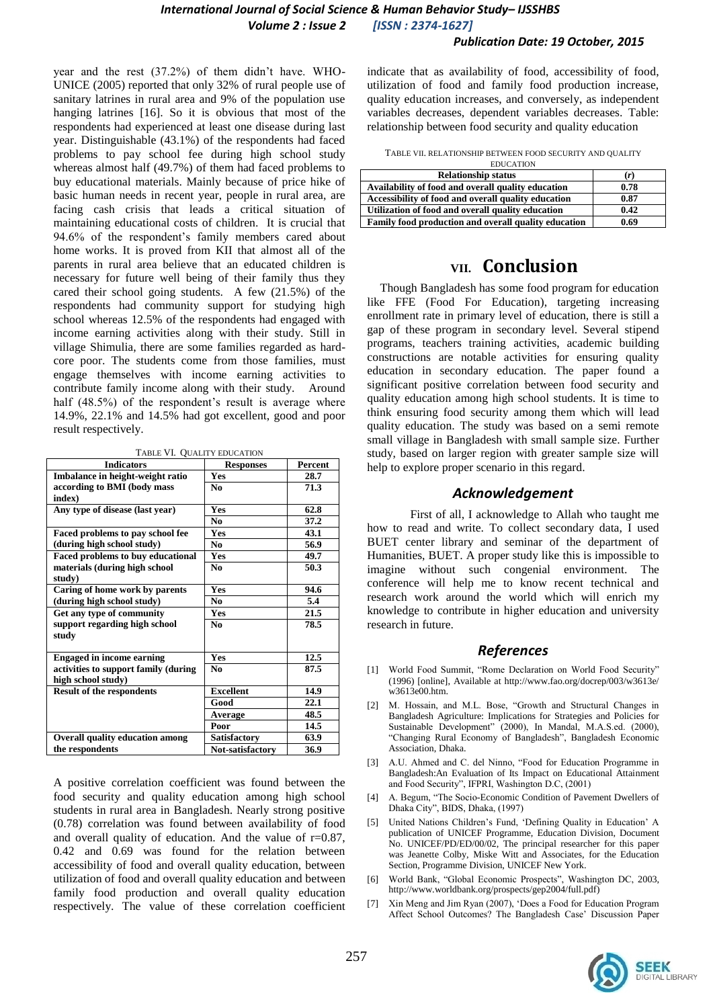### *International Journal of Social Science & Human Behavior Study– IJSSHBS Volume 2 : Issue 2 [ISSN : 2374-1627]*

year and the rest (37.2%) of them didn't have. WHO-UNICE (2005) reported that only 32% of rural people use of sanitary latrines in rural area and 9% of the population use hanging latrines [16]. So it is obvious that most of the respondents had experienced at least one disease during last year. Distinguishable (43.1%) of the respondents had faced problems to pay school fee during high school study whereas almost half (49.7%) of them had faced problems to buy educational materials. Mainly because of price hike of basic human needs in recent year, people in rural area, are facing cash crisis that leads a critical situation of maintaining educational costs of children. It is crucial that 94.6% of the respondent"s family members cared about home works. It is proved from KII that almost all of the parents in rural area believe that an educated children is necessary for future well being of their family thus they cared their school going students. A few (21.5%) of the respondents had community support for studying high school whereas 12.5% of the respondents had engaged with income earning activities along with their study. Still in village Shimulia, there are some families regarded as hardcore poor. The students come from those families, must engage themselves with income earning activities to contribute family income along with their study. Around half (48.5%) of the respondent's result is average where 14.9%, 22.1% and 14.5% had got excellent, good and poor result respectively.

TABLE VI. QUALITY EDUCATION

| <b>Indicators</b>                      | <b>Responses</b> | <b>Percent</b> |
|----------------------------------------|------------------|----------------|
| Imbalance in height-weight ratio       | Yes              | 28.7           |
| according to BMI (body mass            | N <sub>0</sub>   | 71.3           |
| index)                                 |                  |                |
| Any type of disease (last year)        | Yes              | 62.8           |
|                                        | N <sub>0</sub>   | 37.2           |
| Faced problems to pay school fee       | Yes              | 43.1           |
| (during high school study)             | N <sub>0</sub>   | 56.9           |
| Faced problems to buy educational      | Yes              | 49.7           |
| materials (during high school          | N <sub>0</sub>   | 50.3           |
| study)                                 |                  |                |
| Caring of home work by parents         | Yes              | 94.6           |
| (during high school study)             | N <sub>0</sub>   | 5.4            |
| Get any type of community              | Yes              | 21.5           |
| support regarding high school          | N <sub>0</sub>   | 78.5           |
| study                                  |                  |                |
|                                        |                  |                |
| <b>Engaged in income earning</b>       | Yes              | 12.5           |
| activities to support family (during   | N <sub>0</sub>   | 87.5           |
| high school study)                     |                  |                |
| <b>Result of the respondents</b>       | <b>Excellent</b> | 14.9           |
|                                        | Good             | 22.1           |
|                                        | Average          | 48.5           |
|                                        | Poor             | 14.5           |
| <b>Overall quality education among</b> | Satisfactory     | 63.9           |
| the respondents                        | Not-satisfactory | 36.9           |

A positive correlation coefficient was found between the food security and quality education among high school students in rural area in Bangladesh. Nearly strong positive (0.78) correlation was found between availability of food and overall quality of education. And the value of r=0.87, 0.42 and 0.69 was found for the relation between accessibility of food and overall quality education, between utilization of food and overall quality education and between family food production and overall quality education respectively. The value of these correlation coefficient indicate that as availability of food, accessibility of food, utilization of food and family food production increase, quality education increases, and conversely, as independent variables decreases, dependent variables decreases. Table: relationship between food security and quality education

TABLE VII. RELATIONSHIP BETWEEN FOOD SECURITY AND QUALITY EDUCATION

| <b>Relationship status</b>                           | (r)  |
|------------------------------------------------------|------|
| Availability of food and overall quality education   | 0.78 |
| Accessibility of food and overall quality education  | 0.87 |
| Utilization of food and overall quality education    | 0.42 |
| Family food production and overall quality education | 0.69 |

### **VII. Conclusion**

Though Bangladesh has some food program for education like FFE (Food For Education), targeting increasing enrollment rate in primary level of education, there is still a gap of these program in secondary level. Several stipend programs, teachers training activities, academic building constructions are notable activities for ensuring quality education in secondary education. The paper found a significant positive correlation between food security and quality education among high school students. It is time to think ensuring food security among them which will lead quality education. The study was based on a semi remote small village in Bangladesh with small sample size. Further study, based on larger region with greater sample size will help to explore proper scenario in this regard.

#### *Acknowledgement*

First of all, I acknowledge to Allah who taught me how to read and write. To collect secondary data, I used BUET center library and seminar of the department of Humanities, BUET. A proper study like this is impossible to imagine without such congenial environment. The conference will help me to know recent technical and research work around the world which will enrich my knowledge to contribute in higher education and university research in future.

#### *References*

- [1] World Food Summit, "Rome Declaration on World Food Security" (1996) [online], Available at http://www.fao.org/docrep/003/w3613e/ w3613e00.htm.
- [2] M. Hossain, and M.L. Bose, "Growth and Structural Changes in Bangladesh Agriculture: Implications for Strategies and Policies for Sustainable Development" (2000), In Mandal, M.A.S.ed. (2000), "Changing Rural Economy of Bangladesh", Bangladesh Economic Association, Dhaka.
- [3] A.U. Ahmed and C. del Ninno, "Food for Education Programme in Bangladesh:An Evaluation of Its Impact on Educational Attainment and Food Security", IFPRI, Washington D.C, (2001)
- [4] A. Begum, "The Socio-Economic Condition of Pavement Dwellers of Dhaka City", BIDS, Dhaka, (1997)
- United Nations Children's Fund, 'Defining Quality in Education' A publication of UNICEF Programme, Education Division, Document No. UNICEF/PD/ED/00/02, The principal researcher for this paper was Jeanette Colby, Miske Witt and Associates, for the Education Section, Programme Division, UNICEF New York.
- World Bank, "Global Economic Prospects", Washington DC, 2003, [http://www.worldbank.org/prospects/gep2004/full.pdf\)](http://www.worldbank.org/prospects/gep2004/full.pdf)
- [7] Xin Meng and Jim Ryan (2007), "Does a Food for Education Program Affect School Outcomes? The Bangladesh Case' Discussion Paper